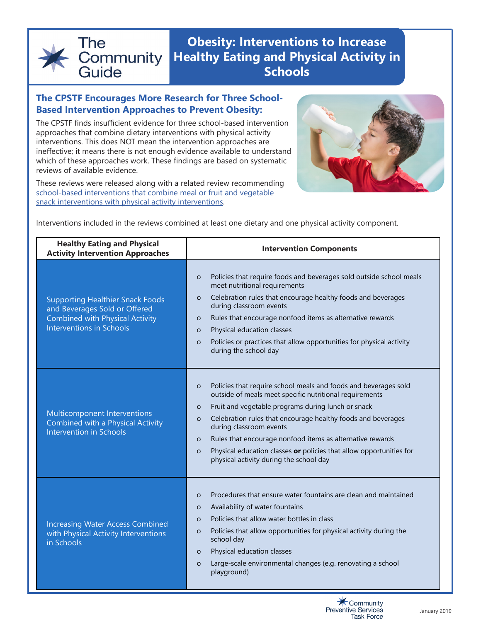

# **Obesity: Interventions to Increase Healthy Eating and Physical Activity in Schools**

## **The CPSTF Encourages More Research for Three School-Based Intervention Approaches to Prevent Obesity:**

The CPSTF finds insufficient evidence for three school-based intervention approaches that combine dietary interventions with physical activity interventions. This does NOT mean the intervention approaches are ineffective; it means there is not enough evidence available to understand which of these approaches work. These findings are based on systematic reviews of available evidence.

These reviews were released along with a related review recommending [school-based interventions that combine meal or fruit and vegetable](https://www.thecommunityguide.org/resources/one-pager-obesity-meal-or-fruit-and-vegetable-snack-interventions-combined-physical-activity-schools)  [snack interventions with physical activity interventions.](https://www.thecommunityguide.org/resources/one-pager-obesity-meal-or-fruit-and-vegetable-snack-interventions-combined-physical-activity-schools)



Interventions included in the reviews combined at least one dietary and one physical activity component.

| <b>Healthy Eating and Physical</b><br><b>Activity Intervention Approaches</b>                                                                         | <b>Intervention Components</b>                                                                                                                                                                                                                                                                                                                                                                                                                                                                                    |
|-------------------------------------------------------------------------------------------------------------------------------------------------------|-------------------------------------------------------------------------------------------------------------------------------------------------------------------------------------------------------------------------------------------------------------------------------------------------------------------------------------------------------------------------------------------------------------------------------------------------------------------------------------------------------------------|
| <b>Supporting Healthier Snack Foods</b><br>and Beverages Sold or Offered<br><b>Combined with Physical Activity</b><br><b>Interventions in Schools</b> | Policies that require foods and beverages sold outside school meals<br>$\circ$<br>meet nutritional requirements<br>Celebration rules that encourage healthy foods and beverages<br>$\circ$<br>during classroom events<br>Rules that encourage nonfood items as alternative rewards<br>$\circ$<br>Physical education classes<br>O<br>Policies or practices that allow opportunities for physical activity<br>$\Omega$<br>during the school day                                                                     |
| Multicomponent Interventions<br>Combined with a Physical Activity<br><b>Intervention in Schools</b>                                                   | Policies that require school meals and foods and beverages sold<br>$\circ$<br>outside of meals meet specific nutritional requirements<br>Fruit and vegetable programs during lunch or snack<br>$\circ$<br>Celebration rules that encourage healthy foods and beverages<br>$\circ$<br>during classroom events<br>Rules that encourage nonfood items as alternative rewards<br>$\circ$<br>Physical education classes or policies that allow opportunities for<br>$\circ$<br>physical activity during the school day |
| <b>Increasing Water Access Combined</b><br>with Physical Activity Interventions<br>in Schools                                                         | Procedures that ensure water fountains are clean and maintained<br>$\circ$<br>Availability of water fountains<br>$\circ$<br>Policies that allow water bottles in class<br>$\circ$<br>Policies that allow opportunities for physical activity during the<br>$\circ$<br>school day<br>Physical education classes<br>$\circ$<br>Large-scale environmental changes (e.g. renovating a school<br>$\circ$<br>playground)                                                                                                |